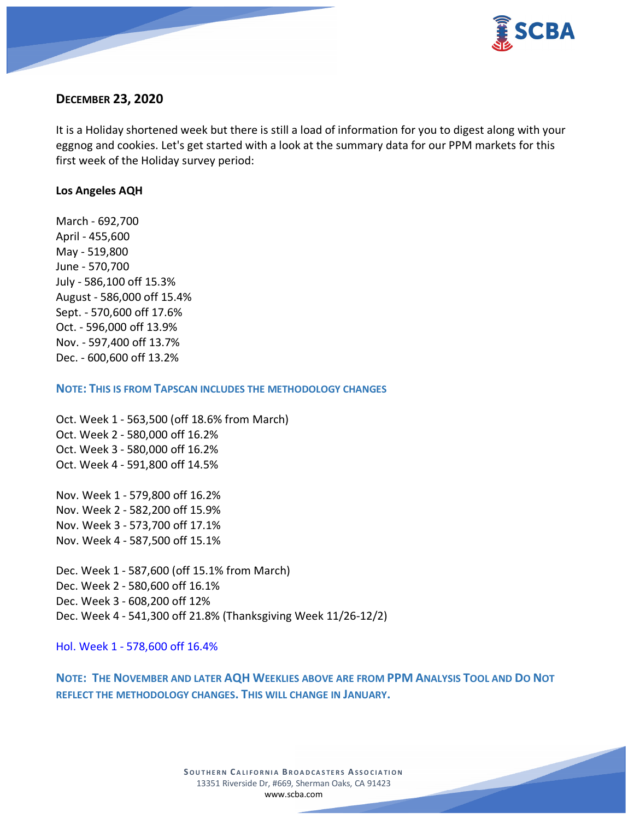

# **DECEMBER 23, 2020**

It is a Holiday shortened week but there is still a load of information for you to digest along with your eggnog and cookies. Let's get started with a look at the summary data for our PPM markets for this first week of the Holiday survey period:

#### **Los Angeles AQH**

March - 692,700 April - 455,600 May - 519,800 June - 570,700 July - 586,100 off 15.3% August - 586,000 off 15.4% Sept. - 570,600 off 17.6% Oct. - 596,000 off 13.9% Nov. - 597,400 off 13.7% Dec. - 600,600 off 13.2%

#### **NOTE: THIS IS FROM TAPSCAN INCLUDES THE METHODOLOGY CHANGES**

Oct. Week 1 - 563,500 (off 18.6% from March) Oct. Week 2 - 580,000 off 16.2% Oct. Week 3 - 580,000 off 16.2% Oct. Week 4 - 591,800 off 14.5%

Nov. Week 1 - 579,800 off 16.2% Nov. Week 2 - 582,200 off 15.9% Nov. Week 3 - 573,700 off 17.1% Nov. Week 4 - 587,500 off 15.1%

Dec. Week 1 - 587,600 (off 15.1% from March) Dec. Week 2 - 580,600 off 16.1% Dec. Week 3 - 608,200 off 12% Dec. Week 4 - 541,300 off 21.8% (Thanksgiving Week 11/26-12/2)

Hol. Week 1 - 578,600 off 16.4%

**NOTE: THE NOVEMBER AND LATER AQH WEEKLIES ABOVE ARE FROM PPM ANALYSIS TOOL AND DO NOT REFLECT THE METHODOLOGY CHANGES. THIS WILL CHANGE IN JANUARY.**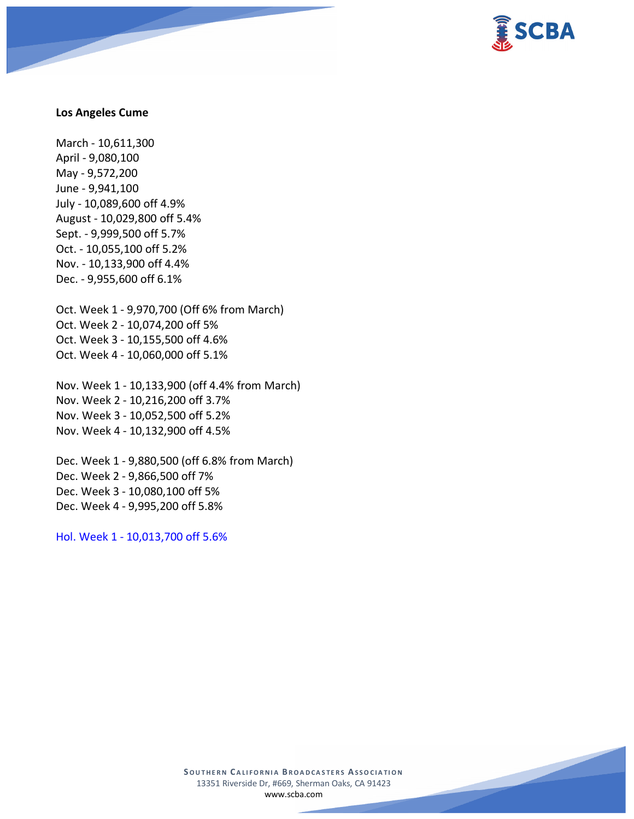

#### **Los Angeles Cume**

March - 10,611,300 April - 9,080,100 May - 9,572,200 June - 9,941,100 July - 10,089,600 off 4.9% August - 10,029,800 off 5.4% Sept. - 9,999,500 off 5.7% Oct. - 10,055,100 off 5.2% Nov. - 10,133,900 off 4.4% Dec. - 9,955,600 off 6.1%

Oct. Week 1 - 9,970,700 (Off 6% from March) Oct. Week 2 - 10,074,200 off 5% Oct. Week 3 - 10,155,500 off 4.6% Oct. Week 4 - 10,060,000 off 5.1%

Nov. Week 1 - 10,133,900 (off 4.4% from March) Nov. Week 2 - 10,216,200 off 3.7% Nov. Week 3 - 10,052,500 off 5.2% Nov. Week 4 - 10,132,900 off 4.5%

Dec. Week 1 - 9,880,500 (off 6.8% from March) Dec. Week 2 - 9,866,500 off 7% Dec. Week 3 - 10,080,100 off 5% Dec. Week 4 - 9,995,200 off 5.8%

Hol. Week 1 - 10,013,700 off 5.6%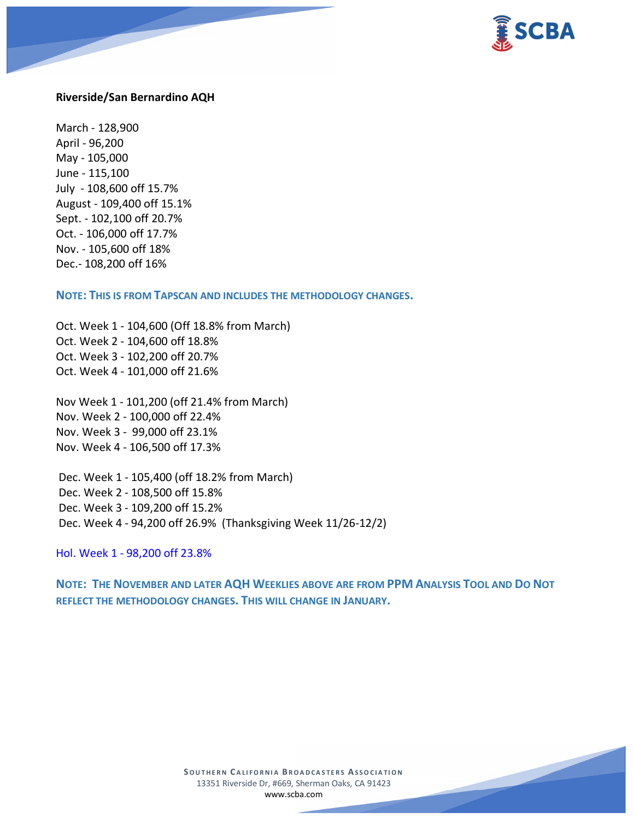

#### **Riverside/San Bernardino AQH**

March - 128,900 April - 96,200 May - 105,000 June - 115,100 July - 108,600 off 15.7% August - 109,400 off 15.1% Sept. - 102,100 off 20.7% Oct. - 106,000 off 17.7% Nov. - 105,600 off 18% Dec.- 108,200 off 16%

**NOTE: THIS IS FROM TAPSCAN AND INCLUDES THE METHODOLOGY CHANGES.** 

Oct. Week 1 - 104,600 (Off 18.8% from March) Oct. Week 2 - 104,600 off 18.8% Oct. Week 3 - 102,200 off 20.7% Oct. Week 4 - 101,000 off 21.6%

Nov Week 1 - 101,200 (off 21.4% from March) Nov. Week 2 - 100,000 off 22.4% Nov. Week 3 - 99,000 off 23.1% Nov. Week 4 - 106,500 off 17.3%

Dec. Week 1 - 105,400 (off 18.2% from March) Dec. Week 2 - 108,500 off 15.8% Dec. Week 3 - 109,200 off 15.2% Dec. Week 4 - 94,200 off 26.9% (Thanksgiving Week 11/26-12/2)

Hol. Week 1 - 98,200 off 23.8%

**NOTE: THE NOVEMBER AND LATER AQH WEEKLIES ABOVE ARE FROM PPM ANALYSIS TOOL AND DO NOT REFLECT THE METHODOLOGY CHANGES. THIS WILL CHANGE IN JANUARY.**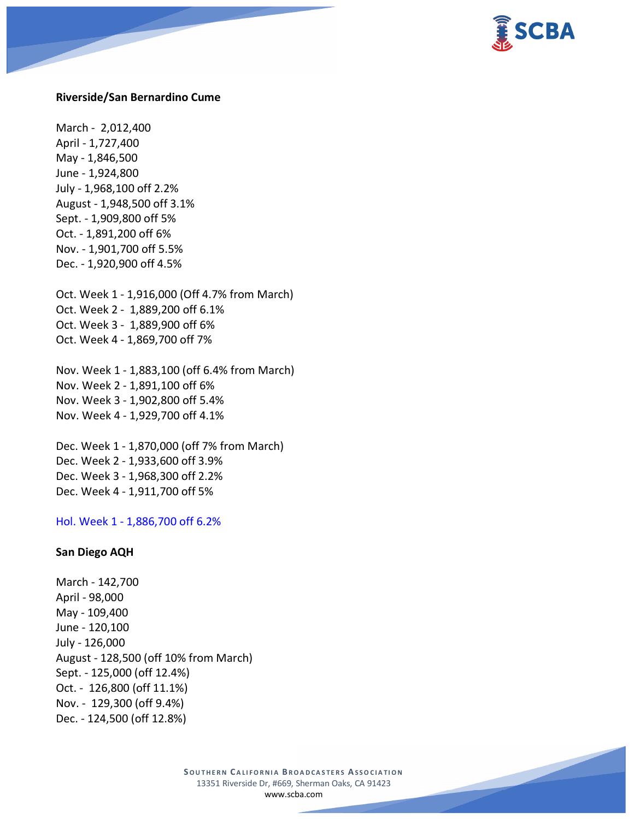

#### **Riverside/San Bernardino Cume**

March - 2,012,400 April - 1,727,400 May - 1,846,500 June - 1,924,800 July - 1,968,100 off 2.2% August - 1,948,500 off 3.1% Sept. - 1,909,800 off 5% Oct. - 1,891,200 off 6% Nov. - 1,901,700 off 5.5% Dec. - 1,920,900 off 4.5%

Oct. Week 1 - 1,916,000 (Off 4.7% from March) Oct. Week 2 - 1,889,200 off 6.1% Oct. Week 3 - 1,889,900 off 6% Oct. Week 4 - 1,869,700 off 7%

Nov. Week 1 - 1,883,100 (off 6.4% from March) Nov. Week 2 - 1,891,100 off 6% Nov. Week 3 - 1,902,800 off 5.4% Nov. Week 4 - 1,929,700 off 4.1%

Dec. Week 1 - 1,870,000 (off 7% from March) Dec. Week 2 - 1,933,600 off 3.9% Dec. Week 3 - 1,968,300 off 2.2% Dec. Week 4 - 1,911,700 off 5%

Hol. Week 1 - 1,886,700 off 6.2%

#### **San Diego AQH**

March - 142,700 April - 98,000 May - 109,400 June - 120,100 July - 126,000 August - 128,500 (off 10% from March) Sept. - 125,000 (off 12.4%) Oct. - 126,800 (off 11.1%) Nov. - 129,300 (off 9.4%) Dec. - 124,500 (off 12.8%)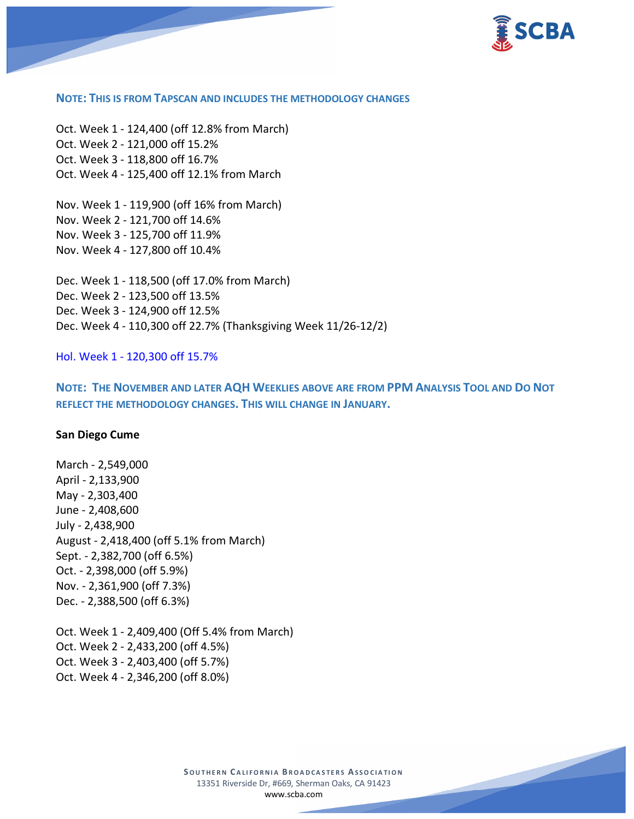

#### **NOTE: THIS IS FROM TAPSCAN AND INCLUDES THE METHODOLOGY CHANGES**

Oct. Week 1 - 124,400 (off 12.8% from March) Oct. Week 2 - 121,000 off 15.2% Oct. Week 3 - 118,800 off 16.7% Oct. Week 4 - 125,400 off 12.1% from March

Nov. Week 1 - 119,900 (off 16% from March) Nov. Week 2 - 121,700 off 14.6% Nov. Week 3 - 125,700 off 11.9% Nov. Week 4 - 127,800 off 10.4%

Dec. Week 1 - 118,500 (off 17.0% from March) Dec. Week 2 - 123,500 off 13.5% Dec. Week 3 - 124,900 off 12.5% Dec. Week 4 - 110,300 off 22.7% (Thanksgiving Week 11/26-12/2)

Hol. Week 1 - 120,300 off 15.7%

**NOTE: THE NOVEMBER AND LATER AQH WEEKLIES ABOVE ARE FROM PPM ANALYSIS TOOL AND DO NOT REFLECT THE METHODOLOGY CHANGES. THIS WILL CHANGE IN JANUARY.**

#### **San Diego Cume**

March - 2,549,000 April - 2,133,900 May - 2,303,400 June - 2,408,600 July - 2,438,900 August - 2,418,400 (off 5.1% from March) Sept. - 2,382,700 (off 6.5%) Oct. - 2,398,000 (off 5.9%) Nov. - 2,361,900 (off 7.3%) Dec. - 2,388,500 (off 6.3%)

Oct. Week 1 - 2,409,400 (Off 5.4% from March) Oct. Week 2 - 2,433,200 (off 4.5%) Oct. Week 3 - 2,403,400 (off 5.7%) Oct. Week 4 - 2,346,200 (off 8.0%)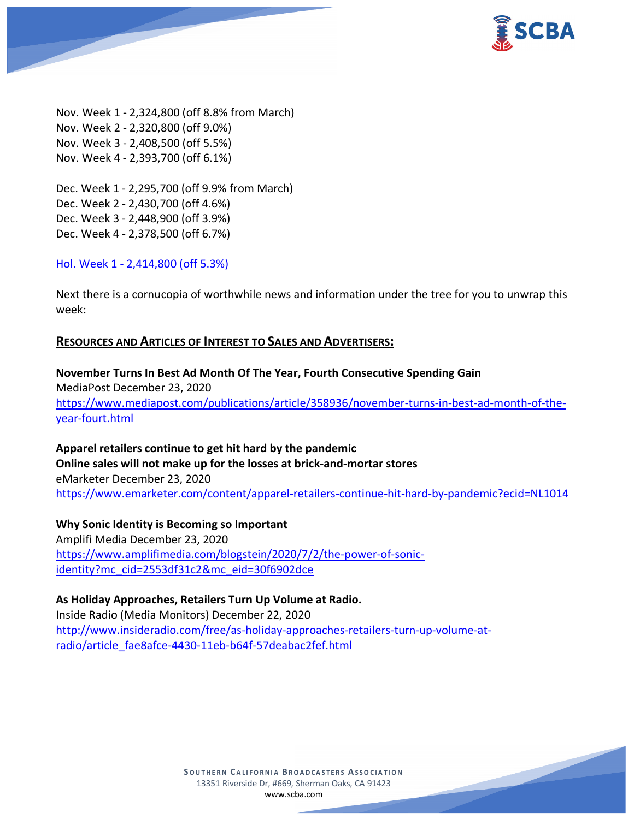

Nov. Week 1 - 2,324,800 (off 8.8% from March) Nov. Week 2 - 2,320,800 (off 9.0%) Nov. Week 3 - 2,408,500 (off 5.5%) Nov. Week 4 - 2,393,700 (off 6.1%)

Dec. Week 1 - 2,295,700 (off 9.9% from March) Dec. Week 2 - 2,430,700 (off 4.6%) Dec. Week 3 - 2,448,900 (off 3.9%) Dec. Week 4 - 2,378,500 (off 6.7%)

Hol. Week 1 - 2,414,800 (off 5.3%)

Next there is a cornucopia of worthwhile news and information under the tree for you to unwrap this week:

## **RESOURCES AND ARTICLES OF INTEREST TO SALES AND ADVERTISERS:**

**November Turns In Best Ad Month Of The Year, Fourth Consecutive Spending Gain** MediaPost December 23, 2020 [https://www.mediapost.com/publications/article/358936/november-turns-in-best-ad-month-of-the](https://www.mediapost.com/publications/article/358936/november-turns-in-best-ad-month-of-the-year-fourt.html)[year-fourt.html](https://www.mediapost.com/publications/article/358936/november-turns-in-best-ad-month-of-the-year-fourt.html)

**Apparel retailers continue to get hit hard by the pandemic Online sales will not make up for the losses at brick-and-mortar stores** eMarketer December 23, 2020 <https://www.emarketer.com/content/apparel-retailers-continue-hit-hard-by-pandemic?ecid=NL1014>

**Why Sonic Identity is Becoming so Important** Amplifi Media December 23, 2020 [https://www.amplifimedia.com/blogstein/2020/7/2/the-power-of-sonic](https://www.amplifimedia.com/blogstein/2020/7/2/the-power-of-sonic-identity?mc_cid=2553df31c2&mc_eid=30f6902dce)[identity?mc\\_cid=2553df31c2&mc\\_eid=30f6902dce](https://www.amplifimedia.com/blogstein/2020/7/2/the-power-of-sonic-identity?mc_cid=2553df31c2&mc_eid=30f6902dce)

**As Holiday Approaches, Retailers Turn Up Volume at Radio.** Inside Radio (Media Monitors) December 22, 2020 [http://www.insideradio.com/free/as-holiday-approaches-retailers-turn-up-volume-at](http://www.insideradio.com/free/as-holiday-approaches-retailers-turn-up-volume-at-radio/article_fae8afce-4430-11eb-b64f-57deabac2fef.html)[radio/article\\_fae8afce-4430-11eb-b64f-57deabac2fef.html](http://www.insideradio.com/free/as-holiday-approaches-retailers-turn-up-volume-at-radio/article_fae8afce-4430-11eb-b64f-57deabac2fef.html)

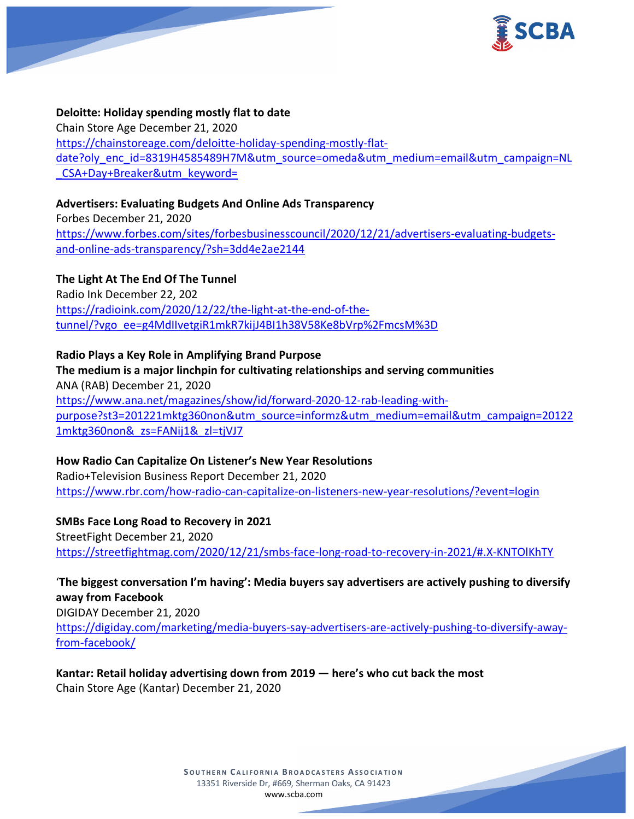

# **Deloitte: Holiday spending mostly flat to date** Chain Store Age December 21, 2020 [https://chainstoreage.com/deloitte-holiday-spending-mostly-flat](https://chainstoreage.com/deloitte-holiday-spending-mostly-flat-date?oly_enc_id=8319H4585489H7M&utm_source=omeda&utm_medium=email&utm_campaign=NL_CSA+Day+Breaker&utm_keyword=)[date?oly\\_enc\\_id=8319H4585489H7M&utm\\_source=omeda&utm\\_medium=email&utm\\_campaign=NL](https://chainstoreage.com/deloitte-holiday-spending-mostly-flat-date?oly_enc_id=8319H4585489H7M&utm_source=omeda&utm_medium=email&utm_campaign=NL_CSA+Day+Breaker&utm_keyword=) [\\_CSA+Day+Breaker&utm\\_keyword=](https://chainstoreage.com/deloitte-holiday-spending-mostly-flat-date?oly_enc_id=8319H4585489H7M&utm_source=omeda&utm_medium=email&utm_campaign=NL_CSA+Day+Breaker&utm_keyword=)

## **Advertisers: Evaluating Budgets And Online Ads Transparency**

Forbes December 21, 2020 [https://www.forbes.com/sites/forbesbusinesscouncil/2020/12/21/advertisers-evaluating-budgets](https://www.forbes.com/sites/forbesbusinesscouncil/2020/12/21/advertisers-evaluating-budgets-and-online-ads-transparency/?sh=3dd4e2ae2144)[and-online-ads-transparency/?sh=3dd4e2ae2144](https://www.forbes.com/sites/forbesbusinesscouncil/2020/12/21/advertisers-evaluating-budgets-and-online-ads-transparency/?sh=3dd4e2ae2144)

**The Light At The End Of The Tunnel** Radio Ink December 22, 202 [https://radioink.com/2020/12/22/the-light-at-the-end-of-the](https://radioink.com/2020/12/22/the-light-at-the-end-of-the-tunnel/?vgo_ee=g4MdIIvetgiR1mkR7kijJ4BI1h38V58Ke8bVrp%2FmcsM%3D)[tunnel/?vgo\\_ee=g4MdIIvetgiR1mkR7kijJ4BI1h38V58Ke8bVrp%2FmcsM%3D](https://radioink.com/2020/12/22/the-light-at-the-end-of-the-tunnel/?vgo_ee=g4MdIIvetgiR1mkR7kijJ4BI1h38V58Ke8bVrp%2FmcsM%3D)

# **Radio Plays a Key Role in Amplifying Brand Purpose The medium is a major linchpin for cultivating relationships and serving communities** ANA (RAB) December 21, 2020 [https://www.ana.net/magazines/show/id/forward-2020-12-rab-leading-with](https://www.ana.net/magazines/show/id/forward-2020-12-rab-leading-with-purpose?st3=201221mktg360non&utm_source=informz&utm_medium=email&utm_campaign=201221mktg360non&_zs=FANij1&_zl=tjVJ7)[purpose?st3=201221mktg360non&utm\\_source=informz&utm\\_medium=email&utm\\_campaign=20122](https://www.ana.net/magazines/show/id/forward-2020-12-rab-leading-with-purpose?st3=201221mktg360non&utm_source=informz&utm_medium=email&utm_campaign=201221mktg360non&_zs=FANij1&_zl=tjVJ7) [1mktg360non&\\_zs=FANij1&\\_zl=tjVJ7](https://www.ana.net/magazines/show/id/forward-2020-12-rab-leading-with-purpose?st3=201221mktg360non&utm_source=informz&utm_medium=email&utm_campaign=201221mktg360non&_zs=FANij1&_zl=tjVJ7)

# **How Radio Can Capitalize On Listener's New Year Resolutions** Radio+Television Business Report December 21, 2020 <https://www.rbr.com/how-radio-can-capitalize-on-listeners-new-year-resolutions/?event=login>

**SMBs Face Long Road to Recovery in 2021** StreetFight December 21, 2020 <https://streetfightmag.com/2020/12/21/smbs-face-long-road-to-recovery-in-2021/#.X-KNTOlKhTY>

# '**The biggest conversation I'm having': Media buyers say advertisers are actively pushing to diversify away from Facebook**

DIGIDAY December 21, 2020 [https://digiday.com/marketing/media-buyers-say-advertisers-are-actively-pushing-to-diversify-away](https://digiday.com/marketing/media-buyers-say-advertisers-are-actively-pushing-to-diversify-away-from-facebook/)[from-facebook/](https://digiday.com/marketing/media-buyers-say-advertisers-are-actively-pushing-to-diversify-away-from-facebook/)

**Kantar: Retail holiday advertising down from 2019 — here's who cut back the most** Chain Store Age (Kantar) December 21, 2020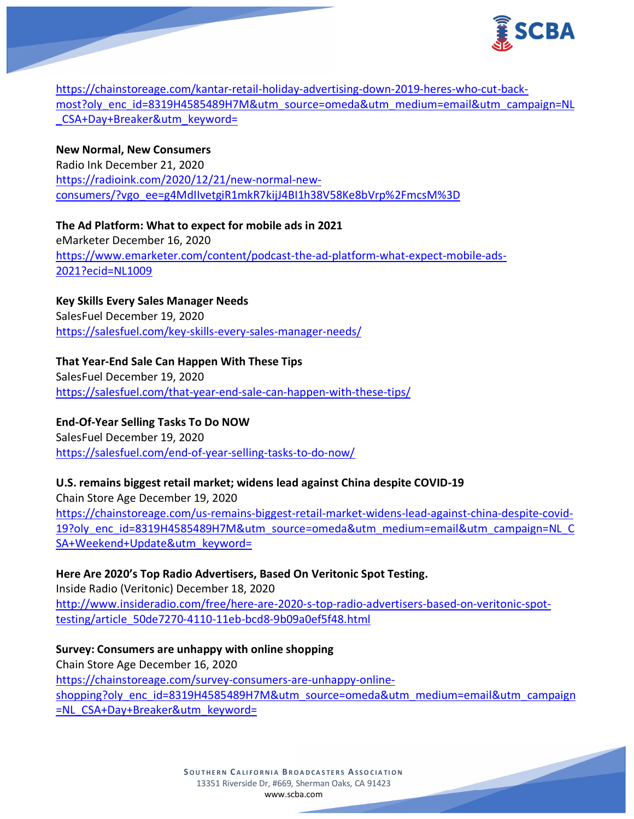

[https://chainstoreage.com/kantar-retail-holiday-advertising-down-2019-heres-who-cut-back](https://chainstoreage.com/kantar-retail-holiday-advertising-down-2019-heres-who-cut-back-most?oly_enc_id=8319H4585489H7M&utm_source=omeda&utm_medium=email&utm_campaign=NL_CSA+Day+Breaker&utm_keyword=)[most?oly\\_enc\\_id=8319H4585489H7M&utm\\_source=omeda&utm\\_medium=email&utm\\_campaign=NL](https://chainstoreage.com/kantar-retail-holiday-advertising-down-2019-heres-who-cut-back-most?oly_enc_id=8319H4585489H7M&utm_source=omeda&utm_medium=email&utm_campaign=NL_CSA+Day+Breaker&utm_keyword=) [\\_CSA+Day+Breaker&utm\\_keyword=](https://chainstoreage.com/kantar-retail-holiday-advertising-down-2019-heres-who-cut-back-most?oly_enc_id=8319H4585489H7M&utm_source=omeda&utm_medium=email&utm_campaign=NL_CSA+Day+Breaker&utm_keyword=)

# **New Normal, New Consumers**

Radio Ink December 21, 2020 [https://radioink.com/2020/12/21/new-normal-new](https://radioink.com/2020/12/21/new-normal-new-consumers/?vgo_ee=g4MdIIvetgiR1mkR7kijJ4BI1h38V58Ke8bVrp%2FmcsM%3D)[consumers/?vgo\\_ee=g4MdIIvetgiR1mkR7kijJ4BI1h38V58Ke8bVrp%2FmcsM%3D](https://radioink.com/2020/12/21/new-normal-new-consumers/?vgo_ee=g4MdIIvetgiR1mkR7kijJ4BI1h38V58Ke8bVrp%2FmcsM%3D)

**The Ad Platform: What to expect for mobile ads in 2021** eMarketer December 16, 2020 [https://www.emarketer.com/content/podcast-the-ad-platform-what-expect-mobile-ads-](https://www.emarketer.com/content/podcast-the-ad-platform-what-expect-mobile-ads-2021?ecid=NL1009)[2021?ecid=NL1009](https://www.emarketer.com/content/podcast-the-ad-platform-what-expect-mobile-ads-2021?ecid=NL1009)

**Key Skills Every Sales Manager Needs** SalesFuel December 19, 2020 <https://salesfuel.com/key-skills-every-sales-manager-needs/>

# **That Year-End Sale Can Happen With These Tips**

SalesFuel December 19, 2020 <https://salesfuel.com/that-year-end-sale-can-happen-with-these-tips/>

**End-Of-Year Selling Tasks To Do NOW** SalesFuel December 19, 2020 <https://salesfuel.com/end-of-year-selling-tasks-to-do-now/>

## **U.S. remains biggest retail market; widens lead against China despite COVID-19**

Chain Store Age December 19, 2020 [https://chainstoreage.com/us-remains-biggest-retail-market-widens-lead-against-china-despite-covid-](https://chainstoreage.com/us-remains-biggest-retail-market-widens-lead-against-china-despite-covid-19?oly_enc_id=8319H4585489H7M&utm_source=omeda&utm_medium=email&utm_campaign=NL_CSA+Weekend+Update&utm_keyword=)[19?oly\\_enc\\_id=8319H4585489H7M&utm\\_source=omeda&utm\\_medium=email&utm\\_campaign=NL\\_C](https://chainstoreage.com/us-remains-biggest-retail-market-widens-lead-against-china-despite-covid-19?oly_enc_id=8319H4585489H7M&utm_source=omeda&utm_medium=email&utm_campaign=NL_CSA+Weekend+Update&utm_keyword=) [SA+Weekend+Update&utm\\_keyword=](https://chainstoreage.com/us-remains-biggest-retail-market-widens-lead-against-china-despite-covid-19?oly_enc_id=8319H4585489H7M&utm_source=omeda&utm_medium=email&utm_campaign=NL_CSA+Weekend+Update&utm_keyword=)

**Here Are 2020's Top Radio Advertisers, Based On Veritonic Spot Testing.** Inside Radio (Veritonic) December 18, 2020 [http://www.insideradio.com/free/here-are-2020-s-top-radio-advertisers-based-on-veritonic-spot](http://www.insideradio.com/free/here-are-2020-s-top-radio-advertisers-based-on-veritonic-spot-testing/article_50de7270-4110-11eb-bcd8-9b09a0ef5f48.html)[testing/article\\_50de7270-4110-11eb-bcd8-9b09a0ef5f48.html](http://www.insideradio.com/free/here-are-2020-s-top-radio-advertisers-based-on-veritonic-spot-testing/article_50de7270-4110-11eb-bcd8-9b09a0ef5f48.html)

**Survey: Consumers are unhappy with online shopping** Chain Store Age December 16, 2020 [https://chainstoreage.com/survey-consumers-are-unhappy-online](https://chainstoreage.com/survey-consumers-are-unhappy-online-shopping?oly_enc_id=8319H4585489H7M&utm_source=omeda&utm_medium=email&utm_campaign=NL_CSA+Day+Breaker&utm_keyword=)[shopping?oly\\_enc\\_id=8319H4585489H7M&utm\\_source=omeda&utm\\_medium=email&utm\\_campaign](https://chainstoreage.com/survey-consumers-are-unhappy-online-shopping?oly_enc_id=8319H4585489H7M&utm_source=omeda&utm_medium=email&utm_campaign=NL_CSA+Day+Breaker&utm_keyword=) [=NL\\_CSA+Day+Breaker&utm\\_keyword=](https://chainstoreage.com/survey-consumers-are-unhappy-online-shopping?oly_enc_id=8319H4585489H7M&utm_source=omeda&utm_medium=email&utm_campaign=NL_CSA+Day+Breaker&utm_keyword=)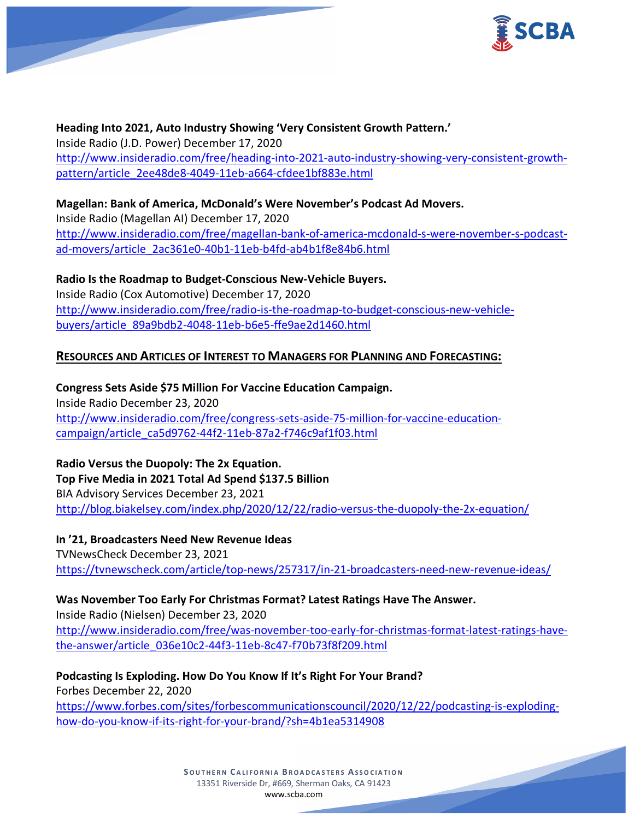

**Heading Into 2021, Auto Industry Showing 'Very Consistent Growth Pattern.'** Inside Radio (J.D. Power) December 17, 2020 [http://www.insideradio.com/free/heading-into-2021-auto-industry-showing-very-consistent-growth](http://www.insideradio.com/free/heading-into-2021-auto-industry-showing-very-consistent-growth-pattern/article_2ee48de8-4049-11eb-a664-cfdee1bf883e.html)[pattern/article\\_2ee48de8-4049-11eb-a664-cfdee1bf883e.html](http://www.insideradio.com/free/heading-into-2021-auto-industry-showing-very-consistent-growth-pattern/article_2ee48de8-4049-11eb-a664-cfdee1bf883e.html)

**Magellan: Bank of America, McDonald's Were November's Podcast Ad Movers.** Inside Radio (Magellan AI) December 17, 2020 [http://www.insideradio.com/free/magellan-bank-of-america-mcdonald-s-were-november-s-podcast](http://www.insideradio.com/free/magellan-bank-of-america-mcdonald-s-were-november-s-podcast-ad-movers/article_2ac361e0-40b1-11eb-b4fd-ab4b1f8e84b6.html)[ad-movers/article\\_2ac361e0-40b1-11eb-b4fd-ab4b1f8e84b6.html](http://www.insideradio.com/free/magellan-bank-of-america-mcdonald-s-were-november-s-podcast-ad-movers/article_2ac361e0-40b1-11eb-b4fd-ab4b1f8e84b6.html)

**Radio Is the Roadmap to Budget-Conscious New-Vehicle Buyers.** Inside Radio (Cox Automotive) December 17, 2020 [http://www.insideradio.com/free/radio-is-the-roadmap-to-budget-conscious-new-vehicle](http://www.insideradio.com/free/radio-is-the-roadmap-to-budget-conscious-new-vehicle-buyers/article_89a9bdb2-4048-11eb-b6e5-ffe9ae2d1460.html)[buyers/article\\_89a9bdb2-4048-11eb-b6e5-ffe9ae2d1460.html](http://www.insideradio.com/free/radio-is-the-roadmap-to-budget-conscious-new-vehicle-buyers/article_89a9bdb2-4048-11eb-b6e5-ffe9ae2d1460.html)

# **RESOURCES AND ARTICLES OF INTEREST TO MANAGERS FOR PLANNING AND FORECASTING:**

**Congress Sets Aside \$75 Million For Vaccine Education Campaign.** Inside Radio December 23, 2020 [http://www.insideradio.com/free/congress-sets-aside-75-million-for-vaccine-education](http://www.insideradio.com/free/congress-sets-aside-75-million-for-vaccine-education-campaign/article_ca5d9762-44f2-11eb-87a2-f746c9af1f03.html)[campaign/article\\_ca5d9762-44f2-11eb-87a2-f746c9af1f03.html](http://www.insideradio.com/free/congress-sets-aside-75-million-for-vaccine-education-campaign/article_ca5d9762-44f2-11eb-87a2-f746c9af1f03.html)

**Radio Versus the Duopoly: The 2x Equation. Top Five Media in 2021 Total Ad Spend \$137.5 Billion** BIA Advisory Services December 23, 2021 <http://blog.biakelsey.com/index.php/2020/12/22/radio-versus-the-duopoly-the-2x-equation/>

**In '21, Broadcasters Need New Revenue Ideas** TVNewsCheck December 23, 2021 <https://tvnewscheck.com/article/top-news/257317/in-21-broadcasters-need-new-revenue-ideas/>

# **Was November Too Early For Christmas Format? Latest Ratings Have The Answer.**

Inside Radio (Nielsen) December 23, 2020

[http://www.insideradio.com/free/was-november-too-early-for-christmas-format-latest-ratings-have](http://www.insideradio.com/free/was-november-too-early-for-christmas-format-latest-ratings-have-the-answer/article_036e10c2-44f3-11eb-8c47-f70b73f8f209.html)[the-answer/article\\_036e10c2-44f3-11eb-8c47-f70b73f8f209.html](http://www.insideradio.com/free/was-november-too-early-for-christmas-format-latest-ratings-have-the-answer/article_036e10c2-44f3-11eb-8c47-f70b73f8f209.html)

**Podcasting Is Exploding. How Do You Know If It's Right For Your Brand?**

Forbes December 22, 2020

[https://www.forbes.com/sites/forbescommunicationscouncil/2020/12/22/podcasting-is-exploding](https://www.forbes.com/sites/forbescommunicationscouncil/2020/12/22/podcasting-is-exploding-how-do-you-know-if-its-right-for-your-brand/?sh=4b1ea5314908)[how-do-you-know-if-its-right-for-your-brand/?sh=4b1ea5314908](https://www.forbes.com/sites/forbescommunicationscouncil/2020/12/22/podcasting-is-exploding-how-do-you-know-if-its-right-for-your-brand/?sh=4b1ea5314908)

> **S OUTHERN C ALIFORNIA B ROADCASTERS ASSOCIATION** 13351 Riverside Dr, #669, Sherman Oaks, CA 91423 [www.scba.com](http://www.scba.com/)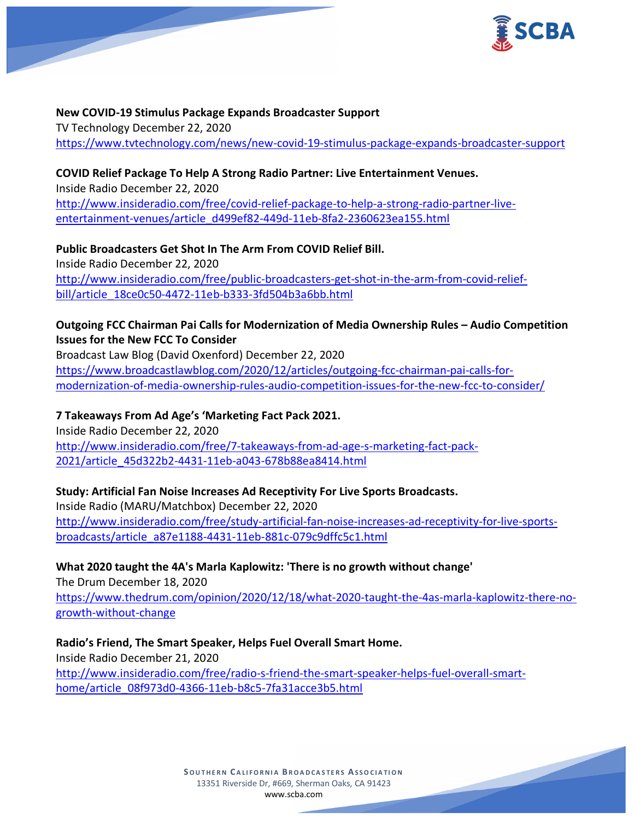

## **New COVID-19 Stimulus Package Expands Broadcaster Support**

TV Technology December 22, 2020 <https://www.tvtechnology.com/news/new-covid-19-stimulus-package-expands-broadcaster-support>

### **COVID Relief Package To Help A Strong Radio Partner: Live Entertainment Venues.**

Inside Radio December 22, 2020 [http://www.insideradio.com/free/covid-relief-package-to-help-a-strong-radio-partner-live](http://www.insideradio.com/free/covid-relief-package-to-help-a-strong-radio-partner-live-entertainment-venues/article_d499ef82-449d-11eb-8fa2-2360623ea155.html)[entertainment-venues/article\\_d499ef82-449d-11eb-8fa2-2360623ea155.html](http://www.insideradio.com/free/covid-relief-package-to-help-a-strong-radio-partner-live-entertainment-venues/article_d499ef82-449d-11eb-8fa2-2360623ea155.html)

**Public Broadcasters Get Shot In The Arm From COVID Relief Bill.** Inside Radio December 22, 2020 [http://www.insideradio.com/free/public-broadcasters-get-shot-in-the-arm-from-covid-relief](http://www.insideradio.com/free/public-broadcasters-get-shot-in-the-arm-from-covid-relief-bill/article_18ce0c50-4472-11eb-b333-3fd504b3a6bb.html)[bill/article\\_18ce0c50-4472-11eb-b333-3fd504b3a6bb.html](http://www.insideradio.com/free/public-broadcasters-get-shot-in-the-arm-from-covid-relief-bill/article_18ce0c50-4472-11eb-b333-3fd504b3a6bb.html)

# **Outgoing FCC Chairman Pai Calls for Modernization of Media Ownership Rules – Audio Competition Issues for the New FCC To Consider**

Broadcast Law Blog (David Oxenford) December 22, 2020 [https://www.broadcastlawblog.com/2020/12/articles/outgoing-fcc-chairman-pai-calls-for](https://www.broadcastlawblog.com/2020/12/articles/outgoing-fcc-chairman-pai-calls-for-modernization-of-media-ownership-rules-audio-competition-issues-for-the-new-fcc-to-consider/)[modernization-of-media-ownership-rules-audio-competition-issues-for-the-new-fcc-to-consider/](https://www.broadcastlawblog.com/2020/12/articles/outgoing-fcc-chairman-pai-calls-for-modernization-of-media-ownership-rules-audio-competition-issues-for-the-new-fcc-to-consider/)

### **7 Takeaways From Ad Age's 'Marketing Fact Pack 2021.**

Inside Radio December 22, 2020 [http://www.insideradio.com/free/7-takeaways-from-ad-age-s-marketing-fact-pack-](http://www.insideradio.com/free/7-takeaways-from-ad-age-s-marketing-fact-pack-2021/article_45d322b2-4431-11eb-a043-678b88ea8414.html)[2021/article\\_45d322b2-4431-11eb-a043-678b88ea8414.html](http://www.insideradio.com/free/7-takeaways-from-ad-age-s-marketing-fact-pack-2021/article_45d322b2-4431-11eb-a043-678b88ea8414.html)

## **Study: Artificial Fan Noise Increases Ad Receptivity For Live Sports Broadcasts.**

Inside Radio (MARU/Matchbox) December 22, 2020 [http://www.insideradio.com/free/study-artificial-fan-noise-increases-ad-receptivity-for-live-sports](http://www.insideradio.com/free/study-artificial-fan-noise-increases-ad-receptivity-for-live-sports-broadcasts/article_a87e1188-4431-11eb-881c-079c9dffc5c1.html)[broadcasts/article\\_a87e1188-4431-11eb-881c-079c9dffc5c1.html](http://www.insideradio.com/free/study-artificial-fan-noise-increases-ad-receptivity-for-live-sports-broadcasts/article_a87e1188-4431-11eb-881c-079c9dffc5c1.html)

## **What 2020 taught the 4A's Marla Kaplowitz: 'There is no growth without change'**

The Drum December 18, 2020 [https://www.thedrum.com/opinion/2020/12/18/what-2020-taught-the-4as-marla-kaplowitz-there-no](https://www.thedrum.com/opinion/2020/12/18/what-2020-taught-the-4as-marla-kaplowitz-there-no-growth-without-change)[growth-without-change](https://www.thedrum.com/opinion/2020/12/18/what-2020-taught-the-4as-marla-kaplowitz-there-no-growth-without-change)

**Radio's Friend, The Smart Speaker, Helps Fuel Overall Smart Home.** Inside Radio December 21, 2020 [http://www.insideradio.com/free/radio-s-friend-the-smart-speaker-helps-fuel-overall-smart](http://www.insideradio.com/free/radio-s-friend-the-smart-speaker-helps-fuel-overall-smart-home/article_08f973d0-4366-11eb-b8c5-7fa31acce3b5.html)[home/article\\_08f973d0-4366-11eb-b8c5-7fa31acce3b5.html](http://www.insideradio.com/free/radio-s-friend-the-smart-speaker-helps-fuel-overall-smart-home/article_08f973d0-4366-11eb-b8c5-7fa31acce3b5.html)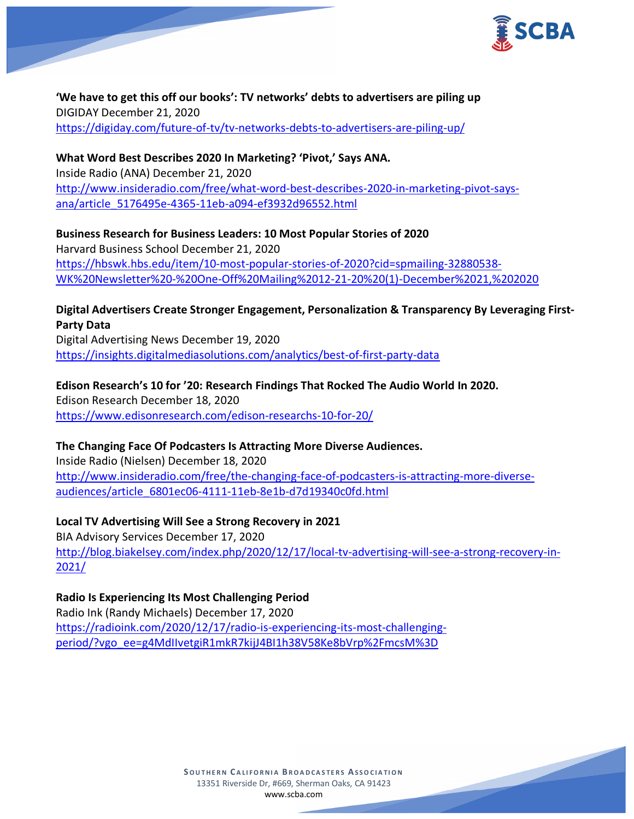

**'We have to get this off our books': TV networks' debts to advertisers are piling up** DIGIDAY December 21, 2020 <https://digiday.com/future-of-tv/tv-networks-debts-to-advertisers-are-piling-up/>

**What Word Best Describes 2020 In Marketing? 'Pivot,' Says ANA.** Inside Radio (ANA) December 21, 2020 [http://www.insideradio.com/free/what-word-best-describes-2020-in-marketing-pivot-says](http://www.insideradio.com/free/what-word-best-describes-2020-in-marketing-pivot-says-ana/article_5176495e-4365-11eb-a094-ef3932d96552.html)[ana/article\\_5176495e-4365-11eb-a094-ef3932d96552.html](http://www.insideradio.com/free/what-word-best-describes-2020-in-marketing-pivot-says-ana/article_5176495e-4365-11eb-a094-ef3932d96552.html)

**Business Research for Business Leaders: 10 Most Popular Stories of 2020** Harvard Business School December 21, 2020 [https://hbswk.hbs.edu/item/10-most-popular-stories-of-2020?cid=spmailing-32880538-](https://hbswk.hbs.edu/item/10-most-popular-stories-of-2020?cid=spmailing-32880538-WK%20Newsletter%20-%20One-Off%20Mailing%2012-21-20%20(1)-December%2021,%202020) [WK%20Newsletter%20-%20One-Off%20Mailing%2012-21-20%20\(1\)-December%2021,%202020](https://hbswk.hbs.edu/item/10-most-popular-stories-of-2020?cid=spmailing-32880538-WK%20Newsletter%20-%20One-Off%20Mailing%2012-21-20%20(1)-December%2021,%202020)

# **Digital Advertisers Create Stronger Engagement, Personalization & Transparency By Leveraging First-Party Data**

Digital Advertising News December 19, 2020 <https://insights.digitalmediasolutions.com/analytics/best-of-first-party-data>

# **Edison Research's 10 for '20: Research Findings That Rocked The Audio World In 2020.**

Edison Research December 18, 2020 <https://www.edisonresearch.com/edison-researchs-10-for-20/>

# **The Changing Face Of Podcasters Is Attracting More Diverse Audiences.**

Inside Radio (Nielsen) December 18, 2020 [http://www.insideradio.com/free/the-changing-face-of-podcasters-is-attracting-more-diverse](http://www.insideradio.com/free/the-changing-face-of-podcasters-is-attracting-more-diverse-audiences/article_6801ec06-4111-11eb-8e1b-d7d19340c0fd.html)[audiences/article\\_6801ec06-4111-11eb-8e1b-d7d19340c0fd.html](http://www.insideradio.com/free/the-changing-face-of-podcasters-is-attracting-more-diverse-audiences/article_6801ec06-4111-11eb-8e1b-d7d19340c0fd.html)

# **Local TV Advertising Will See a Strong Recovery in 2021**

BIA Advisory Services December 17, 2020 [http://blog.biakelsey.com/index.php/2020/12/17/local-tv-advertising-will-see-a-strong-recovery-in-](http://blog.biakelsey.com/index.php/2020/12/17/local-tv-advertising-will-see-a-strong-recovery-in-2021/)[2021/](http://blog.biakelsey.com/index.php/2020/12/17/local-tv-advertising-will-see-a-strong-recovery-in-2021/)

# **Radio Is Experiencing Its Most Challenging Period**

Radio Ink (Randy Michaels) December 17, 2020 [https://radioink.com/2020/12/17/radio-is-experiencing-its-most-challenging](https://radioink.com/2020/12/17/radio-is-experiencing-its-most-challenging-period/?vgo_ee=g4MdIIvetgiR1mkR7kijJ4BI1h38V58Ke8bVrp%2FmcsM%3D)[period/?vgo\\_ee=g4MdIIvetgiR1mkR7kijJ4BI1h38V58Ke8bVrp%2FmcsM%3D](https://radioink.com/2020/12/17/radio-is-experiencing-its-most-challenging-period/?vgo_ee=g4MdIIvetgiR1mkR7kijJ4BI1h38V58Ke8bVrp%2FmcsM%3D)